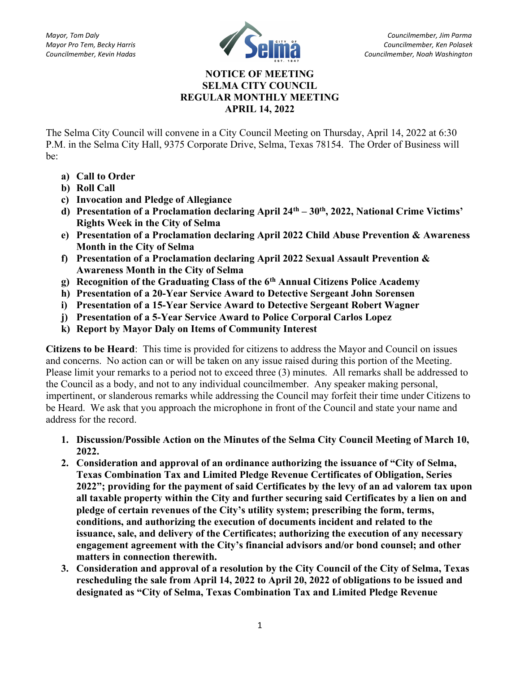

## NOTICE OF MEETING SELMA CITY COUNCIL REGULAR MONTHLY MEETING APRIL 14, 2022

The Selma City Council will convene in a City Council Meeting on Thursday, April 14, 2022 at 6:30 P.M. in the Selma City Hall, 9375 Corporate Drive, Selma, Texas 78154. The Order of Business will be:

- a) Call to Order
- b) Roll Call
- c) Invocation and Pledge of Allegiance
- d) Presentation of a Proclamation declaring April 24<sup>th</sup> 30<sup>th</sup>, 2022, National Crime Victims' Rights Week in the City of Selma
- e) Presentation of a Proclamation declaring April 2022 Child Abuse Prevention & Awareness Month in the City of Selma
- f) Presentation of a Proclamation declaring April 2022 Sexual Assault Prevention & Awareness Month in the City of Selma
- g) Recognition of the Graduating Class of the  $6<sup>th</sup>$  Annual Citizens Police Academy
- h) Presentation of a 20-Year Service Award to Detective Sergeant John Sorensen
- i) Presentation of a 15-Year Service Award to Detective Sergeant Robert Wagner
- j) Presentation of a 5-Year Service Award to Police Corporal Carlos Lopez
- k) Report by Mayor Daly on Items of Community Interest

Citizens to be Heard: This time is provided for citizens to address the Mayor and Council on issues and concerns. No action can or will be taken on any issue raised during this portion of the Meeting. Please limit your remarks to a period not to exceed three (3) minutes. All remarks shall be addressed to the Council as a body, and not to any individual councilmember. Any speaker making personal, impertinent, or slanderous remarks while addressing the Council may forfeit their time under Citizens to be Heard. We ask that you approach the microphone in front of the Council and state your name and address for the record.

- 1. Discussion/Possible Action on the Minutes of the Selma City Council Meeting of March 10, 2022.
- 2. Consideration and approval of an ordinance authorizing the issuance of "City of Selma, Texas Combination Tax and Limited Pledge Revenue Certificates of Obligation, Series 2022"; providing for the payment of said Certificates by the levy of an ad valorem tax upon all taxable property within the City and further securing said Certificates by a lien on and pledge of certain revenues of the City's utility system; prescribing the form, terms, conditions, and authorizing the execution of documents incident and related to the issuance, sale, and delivery of the Certificates; authorizing the execution of any necessary engagement agreement with the City's financial advisors and/or bond counsel; and other matters in connection therewith.
- 3. Consideration and approval of a resolution by the City Council of the City of Selma, Texas rescheduling the sale from April 14, 2022 to April 20, 2022 of obligations to be issued and designated as "City of Selma, Texas Combination Tax and Limited Pledge Revenue